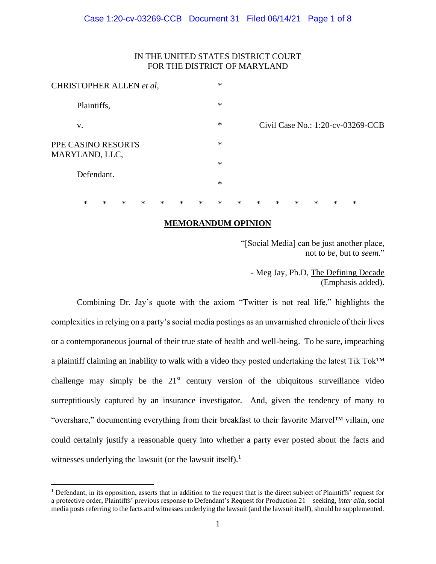# IN THE UNITED STATES DISTRICT COURT FOR THE DISTRICT OF MARYLAND

| CHRISTOPHER ALLEN et al,             |   |        |        |        |        |        | $\ast$ |        |        |        |        |        |   |                                   |  |
|--------------------------------------|---|--------|--------|--------|--------|--------|--------|--------|--------|--------|--------|--------|---|-----------------------------------|--|
| Plaintiffs,                          |   |        |        |        |        |        | $\ast$ |        |        |        |        |        |   |                                   |  |
| V.                                   |   |        |        |        |        |        | $\ast$ |        |        |        |        |        |   | Civil Case No.: 1:20-cv-03269-CCB |  |
| PPE CASINO RESORTS<br>MARYLAND, LLC, |   |        |        |        |        | $\ast$ |        |        |        |        |        |        |   |                                   |  |
|                                      |   |        |        |        |        |        | $\ast$ |        |        |        |        |        |   |                                   |  |
| Defendant.                           |   |        |        |        |        |        | $\ast$ |        |        |        |        |        |   |                                   |  |
| $\ast$                               | * | $\ast$ | $\ast$ | $\ast$ | $\ast$ | $\ast$ | $\ast$ | $\ast$ | $\ast$ | $\ast$ | $\ast$ | $\ast$ | ∗ | $\ast$                            |  |

# **MEMORANDUM OPINION**

"[Social Media] can be just another place, not to *be*, but to *seem*."

- Meg Jay, Ph.D, The Defining Decade (Emphasis added).

Combining Dr. Jay's quote with the axiom "Twitter is not real life," highlights the complexities in relying on a party's social media postings as an unvarnished chronicle of their lives or a contemporaneous journal of their true state of health and well-being. To be sure, impeaching a plaintiff claiming an inability to walk with a video they posted undertaking the latest Tik Tok™ challenge may simply be the  $21<sup>st</sup>$  century version of the ubiquitous surveillance video surreptitiously captured by an insurance investigator. And, given the tendency of many to "overshare," documenting everything from their breakfast to their favorite Marvel™ villain, one could certainly justify a reasonable query into whether a party ever posted about the facts and witnesses underlying the lawsuit (or the lawsuit itself).<sup>1</sup>

 $<sup>1</sup>$  Defendant, in its opposition, asserts that in addition to the request that is the direct subject of Plaintiffs' request for</sup> a protective order, Plaintiffs' previous response to Defendant's Request for Production 21—seeking, *inter alia*, social media posts referring to the facts and witnesses underlying the lawsuit (and the lawsuit itself), should be supplemented.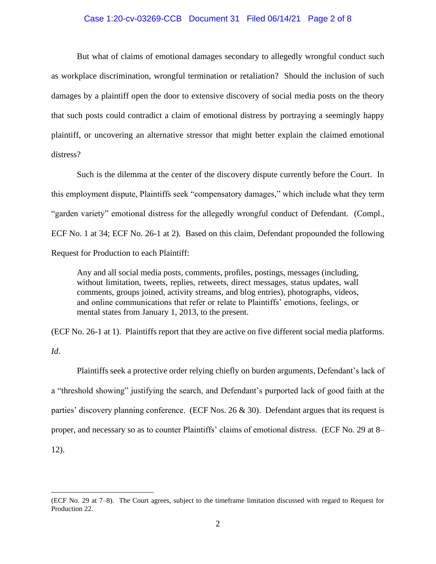## Case 1:20-cv-03269-CCB Document 31 Filed 06/14/21 Page 2 of 8

But what of claims of emotional damages secondary to allegedly wrongful conduct such as workplace discrimination, wrongful termination or retaliation? Should the inclusion of such damages by a plaintiff open the door to extensive discovery of social media posts on the theory that such posts could contradict a claim of emotional distress by portraying a seemingly happy plaintiff, or uncovering an alternative stressor that might better explain the claimed emotional distress?

Such is the dilemma at the center of the discovery dispute currently before the Court. In this employment dispute, Plaintiffs seek "compensatory damages," which include what they term "garden variety" emotional distress for the allegedly wrongful conduct of Defendant. (Compl., ECF No. 1 at 34; ECF No. 26-1 at 2). Based on this claim, Defendant propounded the following Request for Production to each Plaintiff:

Any and all social media posts, comments, profiles, postings, messages (including, without limitation, tweets, replies, retweets, direct messages, status updates, wall comments, groups joined, activity streams, and blog entries), photographs, videos, and online communications that refer or relate to Plaintiffs' emotions, feelings, or mental states from January 1, 2013, to the present.

(ECF No. 26-1 at 1). Plaintiffs report that they are active on five different social media platforms.

*Id*.

Plaintiffs seek a protective order relying chiefly on burden arguments, Defendant's lack of a "threshold showing" justifying the search, and Defendant's purported lack of good faith at the parties' discovery planning conference. (ECF Nos.  $26 \& 30$ ). Defendant argues that its request is proper, and necessary so as to counter Plaintiffs' claims of emotional distress. (ECF No. 29 at 8– 12).

<sup>(</sup>ECF No. 29 at 7–8). The Court agrees, subject to the timeframe limitation discussed with regard to Request for Production 22.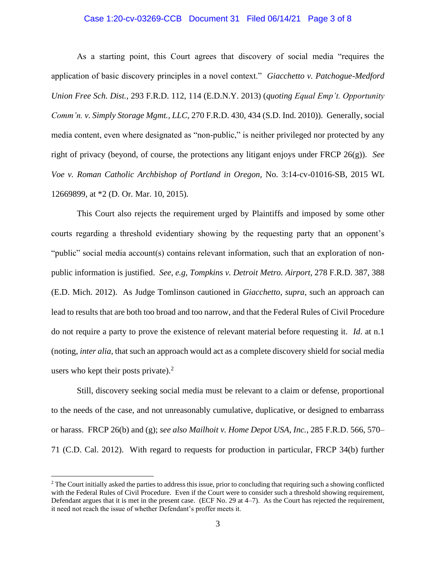#### Case 1:20-cv-03269-CCB Document 31 Filed 06/14/21 Page 3 of 8

As a starting point, this Court agrees that discovery of social media "requires the application of basic discovery principles in a novel context." *Giacchetto v. Patchogue-Medford Union Free Sch. Dist.*, 293 F.R.D. 112, 114 (E.D.N.Y. 2013) (*quoting Equal Emp't. Opportunity Comm'n. v. Simply Storage Mgmt., LLC*, 270 F.R.D. 430, 434 (S.D. Ind. 2010)). Generally, social media content, even where designated as "non-public," is neither privileged nor protected by any right of privacy (beyond, of course, the protections any litigant enjoys under FRCP 26(g)). *See Voe v. Roman Catholic Archbishop of Portland in Oregon,* No. 3:14-cv-01016-SB, 2015 WL 12669899, at \*2 (D. Or. Mar. 10, 2015).

This Court also rejects the requirement urged by Plaintiffs and imposed by some other courts regarding a threshold evidentiary showing by the requesting party that an opponent's "public" social media account(s) contains relevant information, such that an exploration of nonpublic information is justified. *See, e.g*, *Tompkins v. Detroit Metro. Airport*, 278 F.R.D. 387, 388 (E.D. Mich. 2012). As Judge Tomlinson cautioned in *Giacchetto*, *supra*, such an approach can lead to results that are both too broad and too narrow, and that the Federal Rules of Civil Procedure do not require a party to prove the existence of relevant material before requesting it. *Id*. at n.1 (noting, *inter alia*, that such an approach would act as a complete discovery shield for social media users who kept their posts private). $^{2}$ 

Still, discovery seeking social media must be relevant to a claim or defense, proportional to the needs of the case, and not unreasonably cumulative, duplicative, or designed to embarrass or harass. FRCP 26(b) and (g); *see also Mailhoit v. Home Depot USA, Inc.*, 285 F.R.D. 566, 570– 71 (C.D. Cal. 2012). With regard to requests for production in particular, FRCP 34(b) further

 $2$  The Court initially asked the parties to address this issue, prior to concluding that requiring such a showing conflicted with the Federal Rules of Civil Procedure. Even if the Court were to consider such a threshold showing requirement, Defendant argues that it is met in the present case. (ECF No. 29 at 4–7). As the Court has rejected the requirement, it need not reach the issue of whether Defendant's proffer meets it.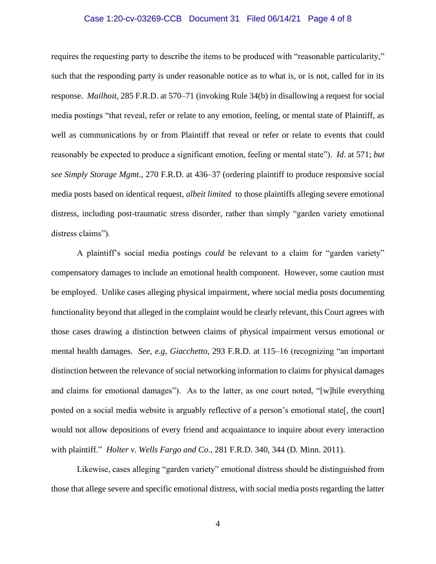### Case 1:20-cv-03269-CCB Document 31 Filed 06/14/21 Page 4 of 8

requires the requesting party to describe the items to be produced with "reasonable particularity," such that the responding party is under reasonable notice as to what is, or is not, called for in its response. *Mailhoit*, 285 F.R.D. at 570–71 (invoking Rule 34(b) in disallowing a request for social media postings "that reveal, refer or relate to any emotion, feeling, or mental state of Plaintiff, as well as communications by or from Plaintiff that reveal or refer or relate to events that could reasonably be expected to produce a significant emotion, feeling or mental state"). *Id*. at 571; *but see Simply Storage Mgmt.*, 270 F.R.D. at 436–37 (ordering plaintiff to produce responsive social media posts based on identical request, *albeit limited* to those plaintiffs alleging severe emotional distress, including post-traumatic stress disorder, rather than simply "garden variety emotional distress claims").

A plaintiff's social media postings *could* be relevant to a claim for "garden variety" compensatory damages to include an emotional health component. However, some caution must be employed. Unlike cases alleging physical impairment, where social media posts documenting functionality beyond that alleged in the complaint would be clearly relevant, this Court agrees with those cases drawing a distinction between claims of physical impairment versus emotional or mental health damages. *See, e.g*, *Giacchetto*, 293 F.R.D. at 115–16 (recognizing "an important distinction between the relevance of social networking information to claims for physical damages and claims for emotional damages"). As to the latter, as one court noted, "[w]hile everything posted on a social media website is arguably reflective of a person's emotional state[, the court] would not allow depositions of every friend and acquaintance to inquire about every interaction with plaintiff." *Holter v. Wells Fargo and Co.*, 281 F.R.D. 340, 344 (D. Minn. 2011).

Likewise, cases alleging "garden variety" emotional distress should be distinguished from those that allege severe and specific emotional distress, with social media posts regarding the latter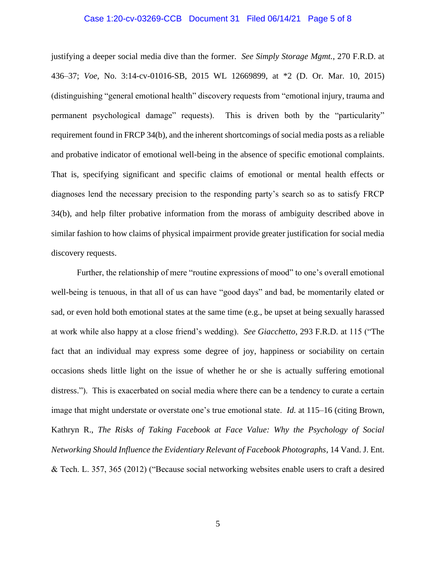#### Case 1:20-cv-03269-CCB Document 31 Filed 06/14/21 Page 5 of 8

justifying a deeper social media dive than the former. *See Simply Storage Mgmt.*, 270 F.R.D. at 436–37; *Voe,* No. 3:14-cv-01016-SB, 2015 WL 12669899, at \*2 (D. Or. Mar. 10, 2015) (distinguishing "general emotional health" discovery requests from "emotional injury, trauma and permanent psychological damage" requests). This is driven both by the "particularity" requirement found in FRCP 34(b), and the inherent shortcomings of social media posts as a reliable and probative indicator of emotional well-being in the absence of specific emotional complaints. That is, specifying significant and specific claims of emotional or mental health effects or diagnoses lend the necessary precision to the responding party's search so as to satisfy FRCP 34(b), and help filter probative information from the morass of ambiguity described above in similar fashion to how claims of physical impairment provide greater justification for social media discovery requests.

Further, the relationship of mere "routine expressions of mood" to one's overall emotional well-being is tenuous, in that all of us can have "good days" and bad, be momentarily elated or sad, or even hold both emotional states at the same time (e.g., be upset at being sexually harassed at work while also happy at a close friend's wedding). *See Giacchetto*, 293 F.R.D. at 115 ("The fact that an individual may express some degree of joy, happiness or sociability on certain occasions sheds little light on the issue of whether he or she is actually suffering emotional distress."). This is exacerbated on social media where there can be a tendency to curate a certain image that might understate or overstate one's true emotional state. *Id.* at 115–16 (citing Brown, Kathryn R., *The Risks of Taking Facebook at Face Value: Why the Psychology of Social Networking Should Influence the Evidentiary Relevant of Facebook Photographs*, 14 Vand. J. Ent. & Tech. L. 357, 365 (2012) ("Because social networking websites enable users to craft a desired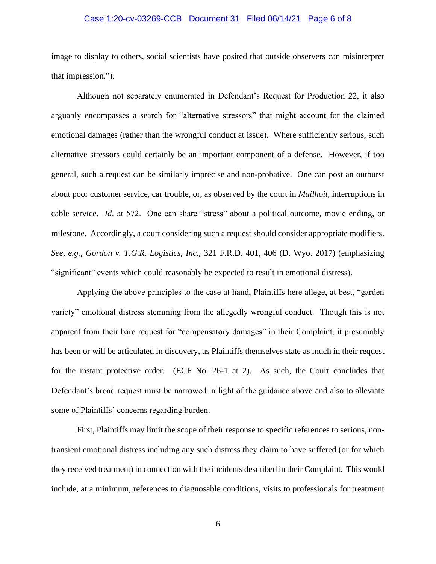#### Case 1:20-cv-03269-CCB Document 31 Filed 06/14/21 Page 6 of 8

image to display to others, social scientists have posited that outside observers can misinterpret that impression.").

Although not separately enumerated in Defendant's Request for Production 22, it also arguably encompasses a search for "alternative stressors" that might account for the claimed emotional damages (rather than the wrongful conduct at issue). Where sufficiently serious, such alternative stressors could certainly be an important component of a defense. However, if too general, such a request can be similarly imprecise and non-probative. One can post an outburst about poor customer service, car trouble, or, as observed by the court in *Mailhoit*, interruptions in cable service. *Id*. at 572. One can share "stress" about a political outcome, movie ending, or milestone. Accordingly, a court considering such a request should consider appropriate modifiers. *See*, *e.g.*, *Gordon v. T.G.R. Logistics, Inc.*, 321 F.R.D. 401, 406 (D. Wyo. 2017) (emphasizing "significant" events which could reasonably be expected to result in emotional distress).

Applying the above principles to the case at hand, Plaintiffs here allege, at best, "garden variety" emotional distress stemming from the allegedly wrongful conduct. Though this is not apparent from their bare request for "compensatory damages" in their Complaint, it presumably has been or will be articulated in discovery, as Plaintiffs themselves state as much in their request for the instant protective order. (ECF No. 26-1 at 2). As such, the Court concludes that Defendant's broad request must be narrowed in light of the guidance above and also to alleviate some of Plaintiffs' concerns regarding burden.

First, Plaintiffs may limit the scope of their response to specific references to serious, nontransient emotional distress including any such distress they claim to have suffered (or for which they received treatment) in connection with the incidents described in their Complaint. This would include, at a minimum, references to diagnosable conditions, visits to professionals for treatment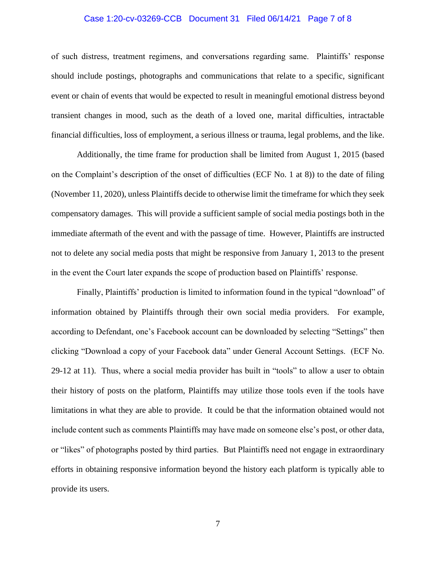## Case 1:20-cv-03269-CCB Document 31 Filed 06/14/21 Page 7 of 8

of such distress, treatment regimens, and conversations regarding same. Plaintiffs' response should include postings, photographs and communications that relate to a specific, significant event or chain of events that would be expected to result in meaningful emotional distress beyond transient changes in mood, such as the death of a loved one, marital difficulties, intractable financial difficulties, loss of employment, a serious illness or trauma, legal problems, and the like.

Additionally, the time frame for production shall be limited from August 1, 2015 (based on the Complaint's description of the onset of difficulties (ECF No. 1 at 8)) to the date of filing (November 11, 2020), unless Plaintiffs decide to otherwise limit the timeframe for which they seek compensatory damages. This will provide a sufficient sample of social media postings both in the immediate aftermath of the event and with the passage of time. However, Plaintiffs are instructed not to delete any social media posts that might be responsive from January 1, 2013 to the present in the event the Court later expands the scope of production based on Plaintiffs' response.

Finally, Plaintiffs' production is limited to information found in the typical "download" of information obtained by Plaintiffs through their own social media providers. For example, according to Defendant, one's Facebook account can be downloaded by selecting "Settings" then clicking "Download a copy of your Facebook data" under General Account Settings. (ECF No. 29-12 at 11). Thus, where a social media provider has built in "tools" to allow a user to obtain their history of posts on the platform, Plaintiffs may utilize those tools even if the tools have limitations in what they are able to provide. It could be that the information obtained would not include content such as comments Plaintiffs may have made on someone else's post, or other data, or "likes" of photographs posted by third parties. But Plaintiffs need not engage in extraordinary efforts in obtaining responsive information beyond the history each platform is typically able to provide its users.